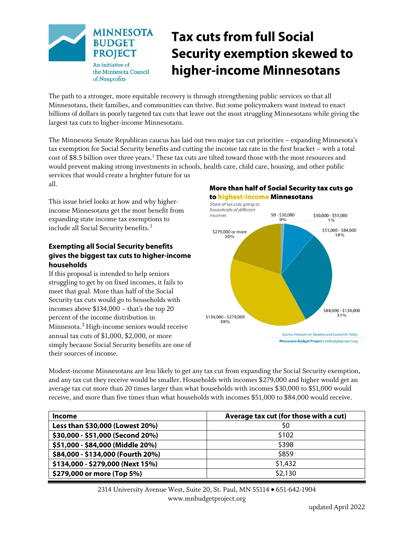

# **Tax cuts from full Social Security exemption skewed to higher-income Minnesotans**

The path to a stronger, more equitable recovery is through strengthening public services so that all Minnesotans, their families, and communities can thrive. But some policymakers want instead to enact billions of dollars in poorly targeted tax cuts that leave out the most struggling Minnesotans while giving the largest tax cuts to higher-income Minnesotans.

The Minnesota Senate Republican caucus has laid out two major tax cut priorities – expanding Minnesota's tax exemption for Social Security benefits and cutting the income tax rate in the first bracket – with a total cost of \$8.5 billion over three years.[1](#page-2-0) These tax cuts are tilted toward those with the most resources and would prevent making strong investments in schools, health care, child care, housing, and other public services that would create a brighter future for us all.

This issue brief looks at how and why higherincome Minnesotans get the most benefit from expanding state income tax exemptions to include all Social Security benefits. [2](#page-2-1)

## **Exempting all Social Security benefits gives the biggest tax cuts to higher-income households**

If this proposal is intended to help seniors struggling to get by on fixed incomes, it fails to meet that goal. More than half of the Social Security tax cuts would go to households with incomes above \$134,000 – that's the top 20 percent of the income distribution in Minnesota.[3](#page-2-2) High-income seniors would receive annual tax cuts of \$1,000, \$2,000, or more simply because Social Security benefits are one of their sources of income.

### More than half of Social Security tax cuts go to highest-income Minnesotans



Modest-income Minnesotans are less likely to get any tax cut from expanding the Social Security exemption, and any tax cut they receive would be smaller. Households with incomes \$279,000 and higher would get an average tax cut more than 20 times larger than what households with incomes \$30,000 to \$51,000 would receive, and more than five times than what households with incomes \$51,000 to \$84,000 would receive.

| Income                            | Average tax cut (for those with a cut) |  |
|-----------------------------------|----------------------------------------|--|
| Less than \$30,000 (Lowest 20%)   | S0                                     |  |
| \$30,000 - \$51,000 (Second 20%)  | \$102                                  |  |
| \$51,000 - \$84,000 (Middle 20%)  | \$398                                  |  |
| \$84,000 - \$134,000 (Fourth 20%) | \$859                                  |  |
| \$134,000 - \$279,000 (Next 15%)  | \$1,432                                |  |
| \$279,000 or more (Top 5%)        | \$2,130                                |  |

2314 University Avenue West, Suite 20, St. Paul, MN 55114 • 651-642-1904 www.mnbudgetproject.org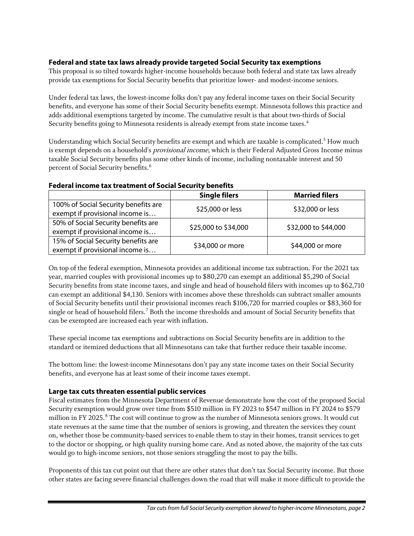### **Federal and state tax laws already provide targeted Social Security tax exemptions**

This proposal is so tilted towards higher-income households because both federal and state tax laws already provide tax exemptions for Social Security benefits that prioritize lower- and modest-income seniors.

Under federal tax laws, the lowest-income folks don't pay any federal income taxes on their Social Security benefits, and everyone has some of their Social Security benefits exempt. Minnesota follows this practice and adds additional exemptions targeted by income. The cumulative result is that about two-thirds of Social Security benefits going to Minnesota residents is already exempt from state income taxes.[4](#page-2-3)

Understanding which Social Security benefits are exempt and which are taxable is complicated.<sup>[5](#page-2-4)</sup> How much is exempt depends on a household's *provisional income*, which is their Federal Adjusted Gross Income minus taxable Social Security benefits plus some other kinds of income, including nontaxable interest and 50 percent of Social Security benefits.<sup>[6](#page-2-5)</sup>

## **Federal income tax treatment of Social Security benefits**

|                                      | <b>Single filers</b> | <b>Married filers</b> |
|--------------------------------------|----------------------|-----------------------|
| 100% of Social Security benefits are | \$25,000 or less     | \$32,000 or less      |
| exempt if provisional income is      |                      |                       |
| 50% of Social Security benefits are  | \$25,000 to \$34,000 | \$32,000 to \$44,000  |
| exempt if provisional income is      |                      |                       |
| 15% of Social Security benefits are  | \$34,000 or more     | \$44,000 or more      |
| exempt if provisional income is      |                      |                       |

On top of the federal exemption, Minnesota provides an additional income tax subtraction. For the 2021 tax year, married couples with provisional incomes up to \$80,270 can exempt an additional \$5,290 of Social Security benefits from state income taxes, and single and head of household filers with incomes up to \$62,710 can exempt an additional \$4,130. Seniors with incomes above these thresholds can subtract smaller amounts of Social Security benefits until their provisional incomes reach \$106,720 for married couples or \$83,360 for single or head of household filers.<sup>[7](#page-2-6)</sup> Both the income thresholds and amount of Social Security benefits that can be exempted are increased each year with inflation.

These special income tax exemptions and subtractions on Social Security benefits are in addition to the standard or itemized deductions that all Minnesotans can take that further reduce their taxable income.

The bottom line: the lowest-income Minnesotans don't pay any state income taxes on their Social Security benefits, and everyone has at least some of their income taxes exempt.

#### **Large tax cuts threaten essential public services**

Fiscal estimates from the Minnesota Department of Revenue demonstrate how the cost of the proposed Social Security exemption would grow over time from \$510 million in FY 2023 to \$547 million in FY 2024 to \$579 million in FY 2025.<sup>[8](#page-2-7)</sup> The cost will continue to grow as the number of Minnesota seniors grows. It would cut state revenues at the same time that the number of seniors is growing, and threaten the services they count on, whether those be community-based services to enable them to stay in their homes, transit services to get to the doctor or shopping, or high quality nursing home care. And as noted above, the majority of the tax cuts would go to high-income seniors, not those seniors struggling the most to pay the bills.

Proponents of this tax cut point out that there are other states that don't tax Social Security income. But those other states are facing severe financial challenges down the road that will make it more difficult to provide the